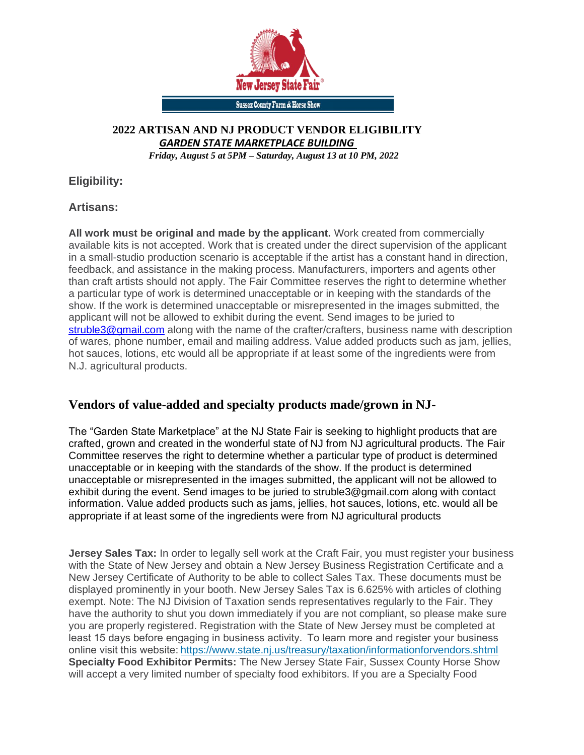

#### **2022 ARTISAN AND NJ PRODUCT VENDOR ELIGIBILITY** *GARDEN STATE MARKETPLACE BUILDING*

*Friday, August 5 at 5PM – Saturday, August 13 at 10 PM, 2022*

**Eligibility:**

**Artisans:**

**All work must be original and made by the applicant.** Work created from commercially available kits is not accepted. Work that is created under the direct supervision of the applicant in a small-studio production scenario is acceptable if the artist has a constant hand in direction, feedback, and assistance in the making process. Manufacturers, importers and agents other than craft artists should not apply. The Fair Committee reserves the right to determine whether a particular type of work is determined unacceptable or in keeping with the standards of the show. If the work is determined unacceptable or misrepresented in the images submitted, the applicant will not be allowed to exhibit during the event. Send images to be juried to [struble3@gmail.com](mailto:struble3@gmail.com) along with the name of the crafter/crafters, business name with description of wares, phone number, email and mailing address. Value added products such as jam, jellies, hot sauces, lotions, etc would all be appropriate if at least some of the ingredients were from N.J. agricultural products.

# **Vendors of value-added and specialty products made/grown in NJ-**

The "Garden State Marketplace" at the NJ State Fair is seeking to highlight products that are crafted, grown and created in the wonderful state of NJ from NJ agricultural products. The Fair Committee reserves the right to determine whether a particular type of product is determined unacceptable or in keeping with the standards of the show. If the product is determined unacceptable or misrepresented in the images submitted, the applicant will not be allowed to exhibit during the event. Send images to be juried to struble3@gmail.com along with contact information. Value added products such as jams, jellies, hot sauces, lotions, etc. would all be appropriate if at least some of the ingredients were from NJ agricultural products

**Jersey Sales Tax:** In order to legally sell work at the Craft Fair, you must register your business with the State of New Jersey and obtain a New Jersey Business Registration Certificate and a New Jersey Certificate of Authority to be able to collect Sales Tax. These documents must be displayed prominently in your booth. New Jersey Sales Tax is 6.625% with articles of clothing exempt. Note: The NJ Division of Taxation sends representatives regularly to the Fair. They have the authority to shut you down immediately if you are not compliant, so please make sure you are properly registered. Registration with the State of New Jersey must be completed at least 15 days before engaging in business activity.  To learn more and register your business online visit this website[: https://www.state.nj.us/treasury/taxation/informationforvendors.shtml](https://www.state.nj.us/treasury/taxation/informationforvendors.shtml) **Specialty Food Exhibitor Permits:** The New Jersey State Fair, Sussex County Horse Show will accept a very limited number of specialty food exhibitors. If you are a Specialty Food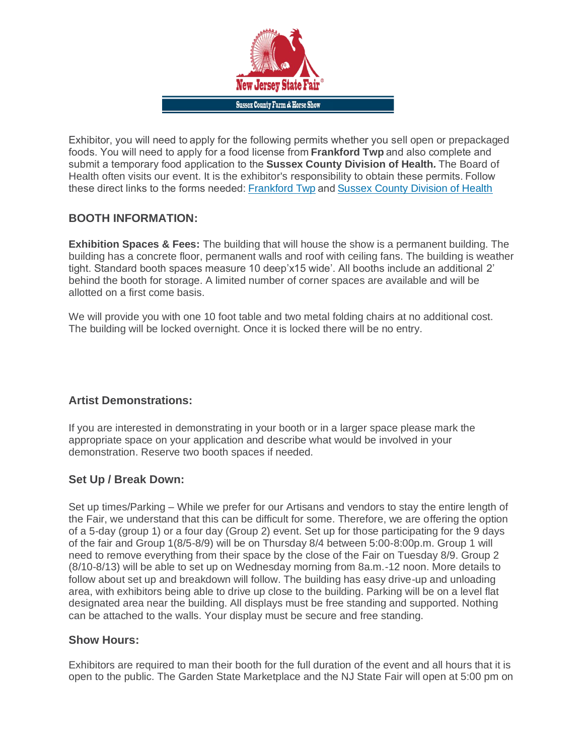

Exhibitor, you will need to apply for the following permits whether you sell open or prepackaged foods. You will need to apply for a food license from **Frankford Twp** and also complete and submit a temporary food application to the **Sussex County Division of Health***.* The Board of Health often visits our event. It is the exhibitor's responsibility to obtain these permits. Follow these direct links to the forms needed:[Frankford Twp](https://frankfordtownship.org/municipal/applications_forms/FoodVendorApplication_Temporary.pdf)and[Sussex County Division of Health](https://www.sussex.nj.us/FCpdf/2016.06.01%20Farmers%20MarketTemporary%20Retail%20Food%20Vendor%20Application%20Form%20T.pdf) 

# **BOOTH INFORMATION:**

**Exhibition Spaces & Fees:** The building that will house the show is a permanent building. The building has a concrete floor, permanent walls and roof with ceiling fans. The building is weather tight. Standard booth spaces measure 10 deep'x15 wide'. All booths include an additional 2' behind the booth for storage. A limited number of corner spaces are available and will be allotted on a first come basis.

We will provide you with one 10 foot table and two metal folding chairs at no additional cost. The building will be locked overnight. Once it is locked there will be no entry.

# **Artist Demonstrations:**

If you are interested in demonstrating in your booth or in a larger space please mark the appropriate space on your application and describe what would be involved in your demonstration. Reserve two booth spaces if needed.

# **Set Up / Break Down:**

Set up times/Parking – While we prefer for our Artisans and vendors to stay the entire length of the Fair, we understand that this can be difficult for some. Therefore, we are offering the option of a 5-day (group 1) or a four day (Group 2) event. Set up for those participating for the 9 days of the fair and Group 1(8/5-8/9) will be on Thursday 8/4 between 5:00-8:00p.m. Group 1 will need to remove everything from their space by the close of the Fair on Tuesday 8/9. Group 2 (8/10-8/13) will be able to set up on Wednesday morning from 8a.m.-12 noon. More details to follow about set up and breakdown will follow. The building has easy drive-up and unloading area, with exhibitors being able to drive up close to the building. Parking will be on a level flat designated area near the building. All displays must be free standing and supported. Nothing can be attached to the walls. Your display must be secure and free standing.

#### **Show Hours:**

Exhibitors are required to man their booth for the full duration of the event and all hours that it is open to the public. The Garden State Marketplace and the NJ State Fair will open at 5:00 pm on